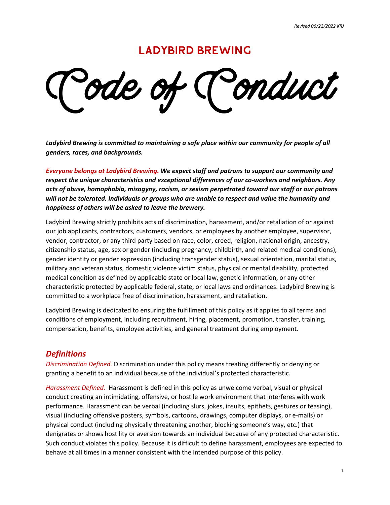# Ladybird brewing

Code of Conduct

*Ladybird Brewing is committed to maintaining a safe place within our community for people of all genders, races, and backgrounds.* 

*Everyone belongs at Ladybird Brewing. We expect staff and patrons to support our community and respect the unique characteristics and exceptional differences of our co-workers and neighbors. Any acts of abuse, homophobia, misogyny, racism, or sexism perpetrated toward our staff or our patrons will not be tolerated. Individuals or groups who are unable to respect and value the humanity and happiness of others will be asked to leave the brewery.*

Ladybird Brewing strictly prohibits acts of discrimination, harassment, and/or retaliation of or against our job applicants, contractors, customers, vendors, or employees by another employee, supervisor, vendor, contractor, or any third party based on race, color, creed, religion, national origin, ancestry, citizenship status, age, sex or gender (including pregnancy, childbirth, and related medical conditions), gender identity or gender expression (including transgender status), sexual orientation, marital status, military and veteran status, domestic violence victim status, physical or mental disability, protected medical condition as defined by applicable state or local law, genetic information, or any other characteristic protected by applicable federal, state, or local laws and ordinances. Ladybird Brewing is committed to a workplace free of discrimination, harassment, and retaliation.

Ladybird Brewing is dedicated to ensuring the fulfillment of this policy as it applies to all terms and conditions of employment, including recruitment, hiring, placement, promotion, transfer, training, compensation, benefits, employee activities, and general treatment during employment.

# *Definitions*

*Discrimination Defined.* Discrimination under this policy means treating differently or denying or granting a benefit to an individual because of the individual's protected characteristic.

*Harassment Defined.* Harassment is defined in this policy as unwelcome verbal, visual or physical conduct creating an intimidating, offensive, or hostile work environment that interferes with work performance. Harassment can be verbal (including slurs, jokes, insults, epithets, gestures or teasing), visual (including offensive posters, symbols, cartoons, drawings, computer displays, or e-mails) or physical conduct (including physically threatening another, blocking someone's way, etc.) that denigrates or shows hostility or aversion towards an individual because of any protected characteristic. Such conduct violates this policy. Because it is difficult to define harassment, employees are expected to behave at all times in a manner consistent with the intended purpose of this policy.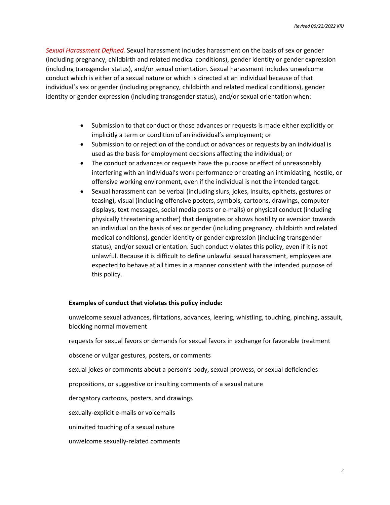*Sexual Harassment Defined.* Sexual harassment includes harassment on the basis of sex or gender (including pregnancy, childbirth and related medical conditions), gender identity or gender expression (including transgender status), and/or sexual orientation. Sexual harassment includes unwelcome conduct which is either of a sexual nature or which is directed at an individual because of that individual's sex or gender (including pregnancy, childbirth and related medical conditions), gender identity or gender expression (including transgender status), and/or sexual orientation when:

- Submission to that conduct or those advances or requests is made either explicitly or implicitly a term or condition of an individual's employment; or
- Submission to or rejection of the conduct or advances or requests by an individual is used as the basis for employment decisions affecting the individual; or
- The conduct or advances or requests have the purpose or effect of unreasonably interfering with an individual's work performance or creating an intimidating, hostile, or offensive working environment, even if the individual is not the intended target.
- Sexual harassment can be verbal (including slurs, jokes, insults, epithets, gestures or teasing), visual (including offensive posters, symbols, cartoons, drawings, computer displays, text messages, social media posts or e-mails) or physical conduct (including physically threatening another) that denigrates or shows hostility or aversion towards an individual on the basis of sex or gender (including pregnancy, childbirth and related medical conditions), gender identity or gender expression (including transgender status), and/or sexual orientation. Such conduct violates this policy, even if it is not unlawful. Because it is difficult to define unlawful sexual harassment, employees are expected to behave at all times in a manner consistent with the intended purpose of this policy.

#### **Examples of conduct that violates this policy include:**

unwelcome sexual advances, flirtations, advances, leering, whistling, touching, pinching, assault, blocking normal movement

requests for sexual favors or demands for sexual favors in exchange for favorable treatment

obscene or vulgar gestures, posters, or comments

sexual jokes or comments about a person's body, sexual prowess, or sexual deficiencies

propositions, or suggestive or insulting comments of a sexual nature

derogatory cartoons, posters, and drawings

sexually-explicit e-mails or voicemails

uninvited touching of a sexual nature

unwelcome sexually-related comments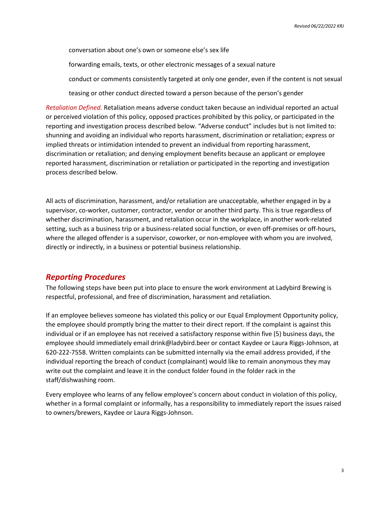conversation about one's own or someone else's sex life forwarding emails, texts, or other electronic messages of a sexual nature conduct or comments consistently targeted at only one gender, even if the content is not sexual teasing or other conduct directed toward a person because of the person's gender

*Retaliation Defined.* Retaliation means adverse conduct taken because an individual reported an actual or perceived violation of this policy, opposed practices prohibited by this policy, or participated in the reporting and investigation process described below. "Adverse conduct" includes but is not limited to: shunning and avoiding an individual who reports harassment, discrimination or retaliation; express or implied threats or intimidation intended to prevent an individual from reporting harassment, discrimination or retaliation; and denying employment benefits because an applicant or employee reported harassment, discrimination or retaliation or participated in the reporting and investigation process described below.

All acts of discrimination, harassment, and/or retaliation are unacceptable, whether engaged in by a supervisor, co-worker, customer, contractor, vendor or another third party. This is true regardless of whether discrimination, harassment, and retaliation occur in the workplace, in another work-related setting, such as a business trip or a business-related social function, or even off-premises or off-hours, where the alleged offender is a supervisor, coworker, or non-employee with whom you are involved, directly or indirectly, in a business or potential business relationship.

### *Reporting Procedures*

The following steps have been put into place to ensure the work environment at Ladybird Brewing is respectful, professional, and free of discrimination, harassment and retaliation.

If an employee believes someone has violated this policy or our Equal Employment Opportunity policy, the employee should promptly bring the matter to their direct report. If the complaint is against this individual or if an employee has not received a satisfactory response within five (5) business days, the employee should immediately email drink@ladybird.beer or contact Kaydee or Laura Riggs-Johnson, at 620-222-7558. Written complaints can be submitted internally via the email address provided, if the individual reporting the breach of conduct (complainant) would like to remain anonymous they may write out the complaint and leave it in the conduct folder found in the folder rack in the staff/dishwashing room.

Every employee who learns of any fellow employee's concern about conduct in violation of this policy, whether in a formal complaint or informally, has a responsibility to immediately report the issues raised to owners/brewers, Kaydee or Laura Riggs-Johnson.